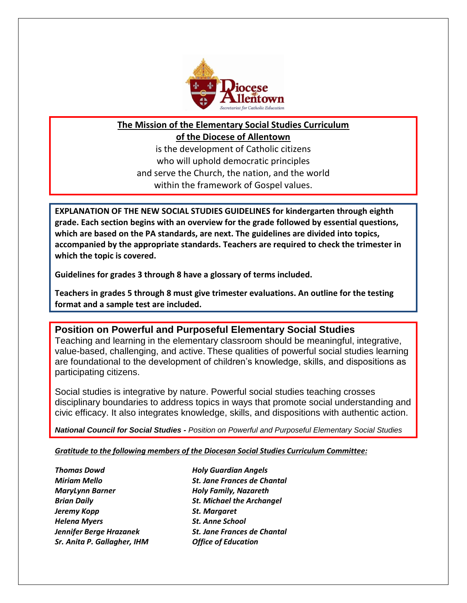

# **The Mission of the Elementary Social Studies Curriculum of the Diocese of Allentown**

is the development of Catholic citizens who will uphold democratic principles and serve the Church, the nation, and the world within the framework of Gospel values.

**EXPLANATION OF THE NEW SOCIAL STUDIES GUIDELINES for kindergarten through eighth grade. Each section begins with an overview for the grade followed by essential questions, which are based on the PA standards, are next. The guidelines are divided into topics, accompanied by the appropriate standards. Teachers are required to check the trimester in which the topic is covered.** 

**Guidelines for grades 3 through 8 have a glossary of terms included.**

**Teachers in grades 5 through 8 must give trimester evaluations. An outline for the testing format and a sample test are included.**

# **Position on Powerful and Purposeful Elementary Social Studies**

Teaching and learning in the elementary classroom should be meaningful, integrative, value-based, challenging, and active. These qualities of powerful social studies learning are foundational to the development of children's knowledge, skills, and dispositions as participating citizens.

Social studies is integrative by nature. Powerful social studies teaching crosses disciplinary boundaries to address topics in ways that promote social understanding and civic efficacy. It also integrates knowledge, skills, and dispositions with authentic action.

*National Council for Social Studies - Position on Powerful and Purposeful Elementary Social Studies*

*Gratitude to the following members of the Diocesan Social Studies Curriculum Committee:*

*Thomas Dowd Holy Guardian Angels MaryLynn Barner Holy Family, Nazareth Brian Daily St. Michael the Archangel Jeremy Kopp St. Margaret Helena Myers St. Anne School Sr. Anita P. Gallagher, IHM Office of Education*

*Miriam Mello St. Jane Frances de Chantal Jennifer Berge Hrazanek St. Jane Frances de Chantal*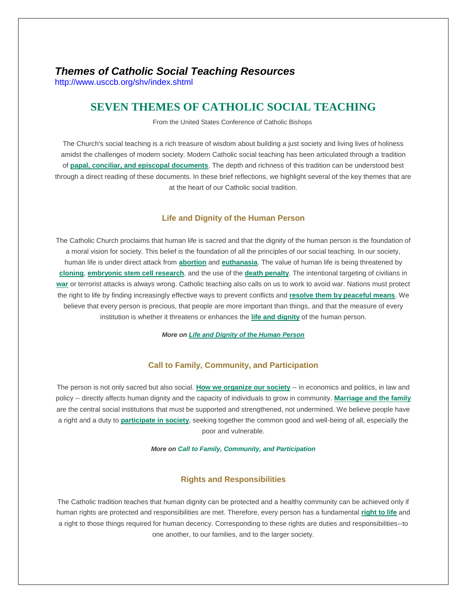# *Themes of Catholic Social Teaching Resources*

http://www.usccb.org/shv/index.shtml

# **SEVEN THEMES OF CATHOLIC SOCIAL TEACHING**

From the United States Conference of Catholic Bishops

The Church's social teaching is a rich treasure of wisdom about building a just society and living lives of holiness amidst the challenges of modern society. Modern Catholic social teaching has been articulated through a tradition of **[papal, conciliar, and episcopal documents](http://usccb.org/beliefs-and-teachings/what-we-believe/catholic-social-teaching/foundational-documents.cfm)**. The depth and richness of this tradition can be understood best through a direct reading of these documents. In these brief reflections, we highlight several of the key themes that are at the heart of our Catholic social tradition.

## **Life and Dignity of the Human Person**

The Catholic Church proclaims that human life is sacred and that the dignity of the human person is the foundation of a moral vision for society. This belief is the foundation of all the principles of our social teaching. In our society, human life is under direct attack from **[abortion](http://usccb.org/issues-and-action/human-life-and-dignity/abortion/index.cfm)** and **[euthanasia](http://usccb.org/issues-and-action/human-life-and-dignity/end-of-life/euthanasia/index.cfm)**. The value of human life is being threatened by **[cloning](http://usccb.org/issues-and-action/human-life-and-dignity/cloning/index.cfm)**, **[embryonic stem cell research](http://usccb.org/issues-and-action/human-life-and-dignity/war-and-peace/index.cfm)**, and the use of the **[death penalty](http://usccb.org/issues-and-action/human-life-and-dignity/death-penalty-capital-punishment/index.cfm)**. The intentional targeting of civilians in **[war](http://usccb.org/issues-and-action/human-life-and-dignity/war-and-peace/index.cfm)** or terrorist attacks is always wrong. Catholic teaching also calls on us to work to avoid war. Nations must protect the right to life by finding increasingly effective ways to prevent conflicts and **[resolve them by peaceful means](http://usccb.org/issues-and-action/human-life-and-dignity/war-and-peace/world-day-of-peace.cfm)**. We believe that every person is precious, that people are more important than things, and that the measure of every institution is whether it threatens or enhances the **[life and dignity](http://usccb.org/issues-and-action/human-life-and-dignity/index.cfm)** of the human person.

*More on [Life and Dignity of the Human Person](http://usccb.org/beliefs-and-teachings/what-we-believe/catholic-social-teaching/life-and-dignity-of-the-human-person.cfm)*

## **Call to Family, Community, and Participation**

The person is not only sacred but also social. **[How we organize our society](http://usccb.org/issues-and-action/faithful-citizenship/index.cfm)** -- in economics and politics, in law and policy -- directly affects human dignity and the capacity of individuals to grow in community. **[Marriage and the family](http://usccb.org/issues-and-action/marriage-and-family/index.cfm)** are the central social institutions that must be supported and strengthened, not undermined. We believe people have a right and a duty to **[participate in society](http://usccb.org/about/catholic-campaign-for-human-development/index.cfm)**, seeking together the common good and well-being of all, especially the poor and vulnerable.

*More o[n Call to Family, Community, and Participation](http://usccb.org/beliefs-and-teachings/what-we-believe/catholic-social-teaching/call-to-family-community-and-participation.cfm)*

## **Rights and Responsibilities**

The Catholic tradition teaches that human dignity can be protected and a healthy community can be achieved only if human rights are protected and responsibilities are met. Therefore, every person has a fundamental **[right to life](http://usccb.org/about/pro-life-activities/respect-life-program/index.cfm)** and a right to those things required for human decency. Corresponding to these rights are duties and responsibilities--to one another, to our families, and to the larger society.